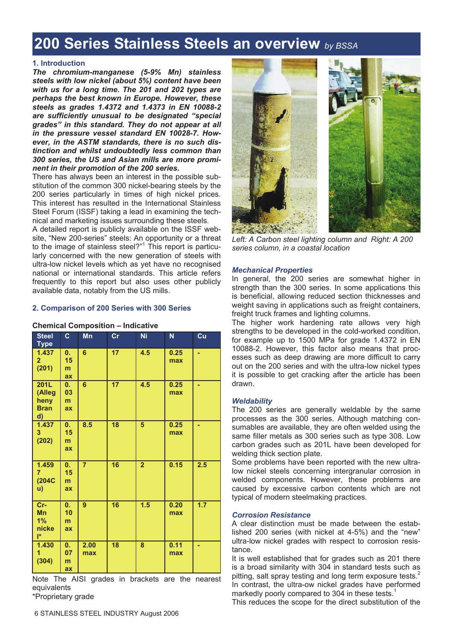# **200 Series Stainless Steels an overview** *by BSSA*

## **1. Introduction**

*The chromium-manganese (5-9% Mn) stainless steels with low nickel (about 5%) content have been with us for a long time. The 201 and 202 types are perhaps the best known in Europe. However, these steels as grades 1.4372 and 1.4373 in EN 10088-2 are sufficiently unusual to be designated "special grades" in this standard. They do not appear at all in the pressure vessel standard EN 10028-7. However, in the ASTM standards, there is no such distinction and whilst undoubtedly less common than 300 series, the US and Asian mills are more prominent in their promotion of the 200 series.* 

There has always been an interest in the possible substitution of the common 300 nickel-bearing steels by the 200 series particularly in times of high nickel prices. This interest has resulted in the International Stainless Steel Forum (ISSF) taking a lead in examining the technical and marketing issues surrounding these steels.

A detailed report is publicly available on the ISSF website, "New 200-series" steels: An opportunity or a threat to the image of stainless steel?"<sup>1</sup> This report is particularly concerned with the new generation of steels with ultra-low nickel levels which as yet have no recognised national or international standards. This article refers frequently to this report but also uses other publicly available data, notably from the US mills.

## **2. Comparison of 200 Series with 300 Series**

| <b>Steel</b><br><b>Type</b>                        | C                                | Mn             | cr              | Ni             | N           | Cu  |
|----------------------------------------------------|----------------------------------|----------------|-----------------|----------------|-------------|-----|
| 1.437<br>$\overline{2}$<br>(201)                   | 0.<br>15<br>m<br>ax              | $6\phantom{a}$ | 17              | 4.5            | 0.25<br>max |     |
| <b>201L</b><br>(Alleg<br>heny<br><b>Bran</b><br>d) | 0.<br>03<br>m<br>ax              | 6              | 17              | 4.5            | 0.25<br>max |     |
| 1.437<br>$\mathbf{3}$<br>(202)                     | 0.<br>15<br>m<br>ax              | 8.5            | $\overline{18}$ | $\overline{5}$ | 0.25<br>max | ٠   |
| 1.459<br>7<br>(204C)<br>u)                         | $\mathbf{0}$ .<br>15<br>m.<br>ax | $\overline{7}$ | 16              | $\overline{2}$ | 0.15        | 2.5 |
| Cr-<br><b>Mn</b><br>1%<br>nicke<br>$\mathsf{I}^*$  | 0.<br>10<br>m<br>ax              | $\overline{9}$ | 16              | 1.5            | 0.20<br>max | 1.7 |
| 1.430<br>1<br>(304)                                | 0.<br>07<br>m<br>ax              | 2.00<br>max    | $\overline{18}$ | 8              | 0.11<br>max |     |

## **Chemical Composition – Indicative**

Note The AISI grades in brackets are the nearest equivalents

\*Proprietary grade



Left: A Carbon steel lighting column and Right: A 200 *series column, in a coastal location* 

### *Mechanical Properties*

In general, the 200 series are somewhat higher in strength than the 300 series. In some applications this is beneficial, allowing reduced section thicknesses and weight saving in applications such as freight containers. freight truck frames and lighting columns.

The higher work hardening rate allows very high strengths to be developed in the cold-worked condition, for example up to 1500 MPa for grade 1.4372 in EN 10088-2. However, this factor also means that processes such as deep drawing are more difficult to carry out on the 200 series and with the ultra-low nickel types it is possible to get cracking after the article has been drawn.

## *Weldability*

The 200 series are generally weldable by the same processes as the 300 series. Although matching consumables are available, they are often welded using the same filler metals as 300 series such as type 308. Low carbon grades such as 201L have been developed for welding thick section plate.

Some problems have been reported with the new ultralow nickel steels concerning intergranular corrosion in welded components. However, these problems are caused by excessive carbon contents which are not typical of modern steelmaking practices.

#### *Corrosion Resistance*

A clear distinction must be made between the established 200 series (with nickel at 4-5%) and the "new" ultra-low nickel grades with respect to corrosion resistance.

It is well established that for grades such as 201 there is a broad similarity with 304 in standard tests such as pitting, salt spray testing and long term exposure tests.<sup>2</sup> In contrast, the ultra-ow nickel grades have performed markedly poorly compared to 304 in these tests.<sup>1</sup>

This reduces the scope for the direct substitution of the